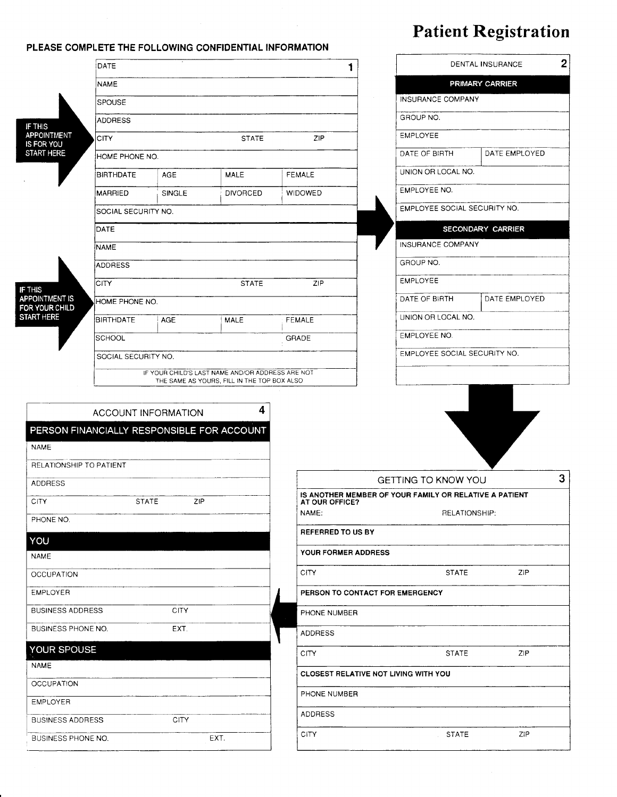## Patient Registration

|                                            | DATE                               |             |                                                                                                 |                                             |                                                                          | DENTAL INSURANCE         |                 |  |  |
|--------------------------------------------|------------------------------------|-------------|-------------------------------------------------------------------------------------------------|---------------------------------------------|--------------------------------------------------------------------------|--------------------------|-----------------|--|--|
| <b>NAME</b>                                |                                    |             |                                                                                                 |                                             |                                                                          |                          | PRIMARY CARRIER |  |  |
|                                            | <b>SPOUSE</b>                      |             |                                                                                                 |                                             |                                                                          | <b>INSURANCE COMPANY</b> |                 |  |  |
| IF THIS                                    | <b>ADDRESS</b>                     |             |                                                                                                 |                                             |                                                                          | GROUP NO.                |                 |  |  |
| APPOINTMENT<br>IS FOR YOU                  | <b>CITY</b>                        |             | <b>STATE</b>                                                                                    | ZIP                                         |                                                                          | <b>EMPLOYEE</b>          |                 |  |  |
| <b>START HERE</b>                          | HOME PHONE NO.                     |             |                                                                                                 |                                             | DATE OF BIRTH                                                            | DATE EMPLOYED            |                 |  |  |
|                                            | <b>BIRTHDATE</b>                   | AGE         | <b>MALE</b>                                                                                     | <b>FEMALE</b>                               |                                                                          | UNION OR LOCAL NO.       |                 |  |  |
|                                            | MARRIED                            | SINGLE      | <b>DIVORCED</b>                                                                                 | <b>WIDOWED</b>                              |                                                                          | EMPLOYEE NO.             |                 |  |  |
|                                            | SOCIAL SECURITY NO.                |             |                                                                                                 |                                             | EMPLOYEE SOCIAL SECURITY NO.                                             |                          |                 |  |  |
|                                            | DATE                               |             |                                                                                                 |                                             | SECONDARY CARRIER                                                        |                          |                 |  |  |
|                                            | <b>NAME</b>                        |             |                                                                                                 | INSURANCE COMPANY                           |                                                                          |                          |                 |  |  |
|                                            | <b>ADDRESS</b>                     |             |                                                                                                 |                                             | GROUP NO.                                                                |                          |                 |  |  |
| IF THIS                                    | ZIP<br><b>CITY</b><br><b>STATE</b> |             |                                                                                                 |                                             |                                                                          | <b>EMPLOYEE</b>          |                 |  |  |
| <b>APPOINTMENT IS</b><br>FOR YOUR CHILD    | HOME PHONE NO.                     |             |                                                                                                 |                                             |                                                                          | DATE OF BIRTH            | DATE EMPLOYED   |  |  |
| <b>START HERE</b>                          | <b>BIRTHDATE</b>                   | <b>AGE</b>  | MALE                                                                                            | <b>FEMALE</b>                               |                                                                          | UNION OR LOCAL NO.       |                 |  |  |
|                                            | <b>SCHOOL</b>                      |             |                                                                                                 | GRADE                                       |                                                                          | EMPLOYEE NO.             |                 |  |  |
|                                            | SOCIAL SECURITY NO.                |             |                                                                                                 | EMPLOYEE SOCIAL SECURITY NO.                |                                                                          |                          |                 |  |  |
|                                            |                                    |             | IF YOUR CHILD'S LAST NAME AND/OR ADDRESS ARE NOT<br>THE SAME AS YOURS, FILL IN THE TOP BOX ALSO |                                             |                                                                          |                          |                 |  |  |
|                                            |                                    |             |                                                                                                 |                                             |                                                                          |                          |                 |  |  |
|                                            | ACCOUNT INFORMATION                |             | 4                                                                                               |                                             |                                                                          |                          |                 |  |  |
| PERSON FINANCIALLY RESPONSIBLE FOR ACCOUNT |                                    |             |                                                                                                 |                                             |                                                                          |                          |                 |  |  |
| <b>NAME</b>                                |                                    |             |                                                                                                 |                                             |                                                                          |                          |                 |  |  |
| RELATIONSHIP TO PATIENT                    |                                    |             |                                                                                                 |                                             |                                                                          |                          |                 |  |  |
| ADDRESS                                    |                                    |             |                                                                                                 |                                             | 3<br>GETTING TO KNOW YOU                                                 |                          |                 |  |  |
| <b>CITY</b>                                | <b>STATE</b>                       | ZIP         |                                                                                                 |                                             | IS ANOTHER MEMBER OF YOUR FAMILY OR RELATIVE A PATIENT<br>AT OUR OFFICE? |                          |                 |  |  |
| PHONE NO.                                  |                                    |             |                                                                                                 | NAME:                                       |                                                                          | RELATIONSHIP:            |                 |  |  |
| YOU                                        |                                    |             |                                                                                                 | REFERRED TO US BY                           |                                                                          |                          |                 |  |  |
| <b>NAME</b>                                |                                    |             |                                                                                                 | YOUR FORMER ADDRESS                         |                                                                          |                          |                 |  |  |
| <b>OCCUPATION</b>                          |                                    |             |                                                                                                 | <b>CITY</b>                                 |                                                                          | <b>STATE</b>             | ZIP             |  |  |
| <b>EMPLOYER</b>                            |                                    |             |                                                                                                 |                                             | PERSON TO CONTACT FOR EMERGENCY                                          |                          |                 |  |  |
| <b>BUSINESS ADDRESS</b>                    |                                    | <b>CITY</b> |                                                                                                 | PHONE NUMBER                                |                                                                          |                          |                 |  |  |
| BUSINESS PHONE NO.                         |                                    | EXT.        |                                                                                                 | ADDRESS                                     |                                                                          |                          |                 |  |  |
| YOUR SPOUSE                                |                                    |             |                                                                                                 | <b>CITY</b>                                 |                                                                          | <b>STATE</b>             | ZIP             |  |  |
| <b>NAME</b>                                |                                    |             |                                                                                                 |                                             |                                                                          |                          |                 |  |  |
| <b>OCCUPATION</b>                          |                                    |             |                                                                                                 | <b>CLOSEST RELATIVE NOT LIVING WITH YOU</b> |                                                                          |                          |                 |  |  |
| <b>EMPLOYER</b>                            |                                    |             |                                                                                                 | PHONE NUMBER                                |                                                                          |                          |                 |  |  |
| <b>BUSINESS ADDRESS</b>                    |                                    | CITY        |                                                                                                 | <b>ADDRESS</b>                              |                                                                          |                          |                 |  |  |
| BUSINESS PHONE NO.                         |                                    |             | EXT.                                                                                            | <b>CITY</b>                                 |                                                                          | <b>STATE</b>             | ZIP             |  |  |

PLEASE COMPLETE THE FOLLOWING CONFIDENTIAL INFORMATION